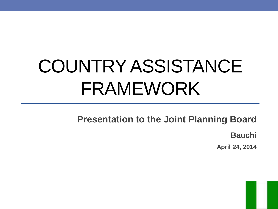# COUNTRY ASSISTANCE FRAMEWORK

**Presentation to the Joint Planning Board**

**Bauchi**

**April 24, 2014**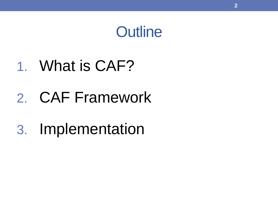### **Outline**

### 1. What is CAF?

## 2. CAF Framework

## 3. Implementation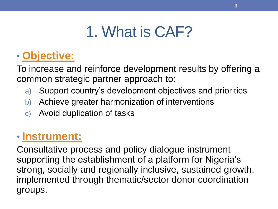## 1. What is CAF?

### • **Objective:**

To increase and reinforce development results by offering a common strategic partner approach to:

- a) Support country's development objectives and priorities
- b) Achieve greater harmonization of interventions
- c) Avoid duplication of tasks

### • **Instrument:**

Consultative process and policy dialogue instrument supporting the establishment of a platform for Nigeria's strong, socially and regionally inclusive, sustained growth, implemented through thematic/sector donor coordination groups.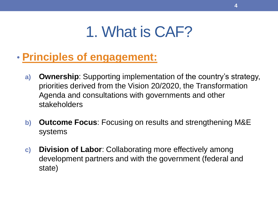### 1. What is CAF?

- **Principles of engagement:**
	- **a) Ownership**: Supporting implementation of the country's strategy, priorities derived from the Vision 20/2020, the Transformation Agenda and consultations with governments and other stakeholders
	- **b) Outcome Focus**: Focusing on results and strengthening M&E systems
	- **c) Division of Labor**: Collaborating more effectively among development partners and with the government (federal and state)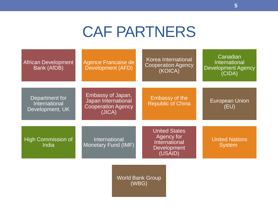### CAF PARTNERS

| <b>African Development</b><br>Bank (AfDB)          | Agence Francaise de<br>Development (AFD)                                        | Korea International<br><b>Cooperation Agency</b><br>(KOICA)                          | Canadian<br><b>International</b><br><b>Development Agency</b><br>(CIDA) |
|----------------------------------------------------|---------------------------------------------------------------------------------|--------------------------------------------------------------------------------------|-------------------------------------------------------------------------|
| Department for<br>International<br>Development, UK | Embassy of Japan,<br>Japan International<br><b>Cooperation Agency</b><br>(JICA) | <b>Embassy of the</b><br><b>Republic of China</b>                                    | <b>European Union</b><br>(EU)                                           |
| High Commission of<br>India                        | International<br><b>Monetary Fund (IMF)</b>                                     | <b>United States</b><br>Agency for<br>International<br><b>Development</b><br>(USAID) | <b>United Nations</b><br><b>System</b>                                  |
|                                                    | <b>World Bank Group</b><br>(WBG)                                                |                                                                                      |                                                                         |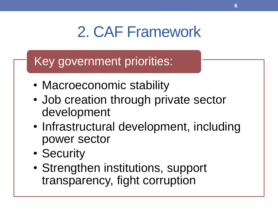## 2. CAF Framework

### Key government priorities:

- Macroeconomic stability
- Job creation through private sector development
- Infrastructural development, including power sector
- Security
- Strengthen institutions, support transparency, fight corruption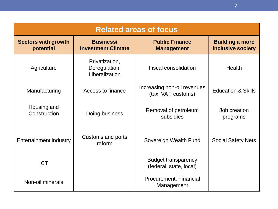| <b>Related areas of focus</b>           |                                                   |                                                       |                                             |  |  |
|-----------------------------------------|---------------------------------------------------|-------------------------------------------------------|---------------------------------------------|--|--|
| <b>Sectors with growth</b><br>potential | <b>Business/</b><br><b>Investment Climate</b>     | <b>Public Finance</b><br><b>Management</b>            | <b>Building a more</b><br>inclusive society |  |  |
| Agriculture                             | Privatization,<br>Deregulation,<br>Liberalization | <b>Fiscal consolidation</b>                           | Health                                      |  |  |
| Manufacturing                           | Access to finance                                 | Increasing non-oil revenues<br>(tax, VAT, customs)    | <b>Education &amp; Skills</b>               |  |  |
| Housing and<br>Construction             | Doing business                                    | Removal of petroleum<br>subsidies                     | Job creation<br>programs                    |  |  |
| <b>Entertainment industry</b>           | Customs and ports<br>reform                       | Sovereign Wealth Fund                                 | <b>Social Safety Nets</b>                   |  |  |
| <b>ICT</b>                              |                                                   | <b>Budget transparency</b><br>(federal, state, local) |                                             |  |  |
| Non-oil minerals                        |                                                   | Procurement, Financial<br>Management                  |                                             |  |  |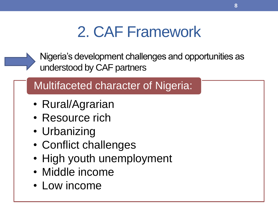## 2. CAF Framework

Nigeria's development challenges and opportunities as understood by CAF partners

### Multifaceted character of Nigeria:

- Rural/Agrarian
- Resource rich
- Urbanizing
- Conflict challenges
- High youth unemployment
- Middle income
- Low income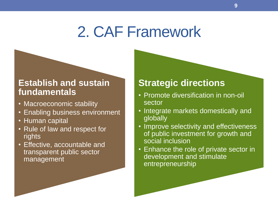### 2. CAF Framework

#### **Establish and sustain fundamentals**

- Macroeconomic stability
- Enabling business environment
- Human capital
- Rule of law and respect for rights
- Effective, accountable and transparent public sector management

#### **Strategic directions**

- Promote diversification in non-oil sector
- Integrate markets domestically and globally
- Improve selectivity and effectiveness of public investment for growth and social inclusion
- Enhance the role of private sector in development and stimulate entrepreneurship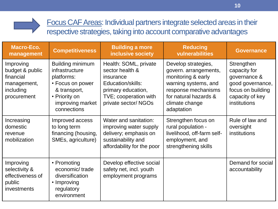

| <b>Macro-Eco.</b><br>management                                                      | <b>Competitiveness</b>                                                                                                                   | <b>Building a more</b><br>inclusive society                                                                                                      | <b>Reducing</b><br>vulnerabilities                                                                                                                                         | <b>Governance</b>                                                                                                      |
|--------------------------------------------------------------------------------------|------------------------------------------------------------------------------------------------------------------------------------------|--------------------------------------------------------------------------------------------------------------------------------------------------|----------------------------------------------------------------------------------------------------------------------------------------------------------------------------|------------------------------------------------------------------------------------------------------------------------|
| Improving<br>budget & public<br>financial<br>management,<br>including<br>procurement | Building minimum<br>infrastructure<br>platforms:<br>• Focus on power<br>& transport,<br>• Priority on<br>improving market<br>connections | Health: SOML, private<br>sector health &<br>insurance<br>Education/skills:<br>primary education,<br>TVE; cooperation with<br>private sector/NGOs | Develop strategies,<br>govern. arrangements,<br>monitoring & early<br>warning systems, and<br>response mechanisms<br>for natural hazards &<br>climate change<br>adaptation | Strengthen<br>capacity for<br>governance &<br>good governance,<br>focus on building<br>capacity of key<br>institutions |
| Increasing<br>domestic<br>revenue<br>mobilization                                    | Improved access<br>to long term<br>financing (housing,<br>SMEs, agriculture)                                                             | Water and sanitation:<br>improving water supply<br>delivery; emphasis on<br>sustainability and<br>affordability for the poor                     | Strengthen focus on<br>rural population -<br>livelihood, off-farm self-<br>employment, and<br>strengthening skills                                                         | Rule of law and<br>oversight<br>institutions                                                                           |
| Improving<br>selectivity &<br>effectiveness of<br>public<br><i>investments</i>       | • Promoting<br>economic/trade<br>diversification<br>• Improving<br>regulatory<br>environment                                             | Develop effective social<br>safety net, incl. youth<br>employment programs                                                                       |                                                                                                                                                                            | Demand for social<br>accountability                                                                                    |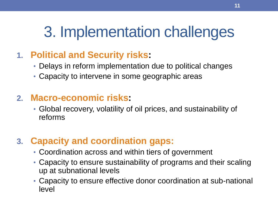## 3. Implementation challenges

### **1. Political and Security risks:**

- Delays in reform implementation due to political changes
- Capacity to intervene in some geographic areas

#### **2. Macro-economic risks:**

• Global recovery, volatility of oil prices, and sustainability of reforms

### **3. Capacity and coordination gaps:**

- Coordination across and within tiers of government
- Capacity to ensure sustainability of programs and their scaling up at subnational levels
- Capacity to ensure effective donor coordination at sub-national level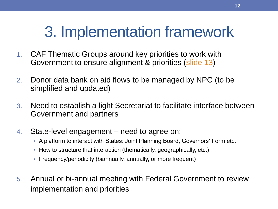## 3. Implementation framework

- 1. CAF Thematic Groups around key priorities to work with Government to ensure alignment & priorities (slide 13)
- 2. Donor data bank on aid flows to be managed by NPC (to be simplified and updated)
- 3. Need to establish a light Secretariat to facilitate interface between Government and partners
- 4. State-level engagement need to agree on:
	- A platform to interact with States: Joint Planning Board, Governors' Form etc.
	- How to structure that interaction (thematically, geographically, etc.)
	- Frequency/periodicity (biannually, annually, or more frequent)
- 5. Annual or bi-annual meeting with Federal Government to review implementation and priorities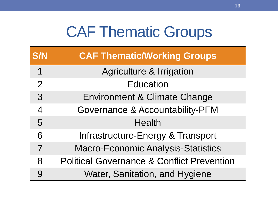### CAF Thematic Groups

| <b>S/N</b>     | <b>CAF Thematic/Working Groups</b>                    |
|----------------|-------------------------------------------------------|
| 1              | <b>Agriculture &amp; Irrigation</b>                   |
| $\overline{2}$ | <b>Education</b>                                      |
| 3              | Environment & Climate Change                          |
| $\overline{4}$ | <b>Governance &amp; Accountability-PFM</b>            |
| 5              | <b>Health</b>                                         |
| 6              | Infrastructure-Energy & Transport                     |
| 7              | <b>Macro-Economic Analysis-Statistics</b>             |
| 8              | <b>Political Governance &amp; Conflict Prevention</b> |
| 9              | Water, Sanitation, and Hygiene                        |